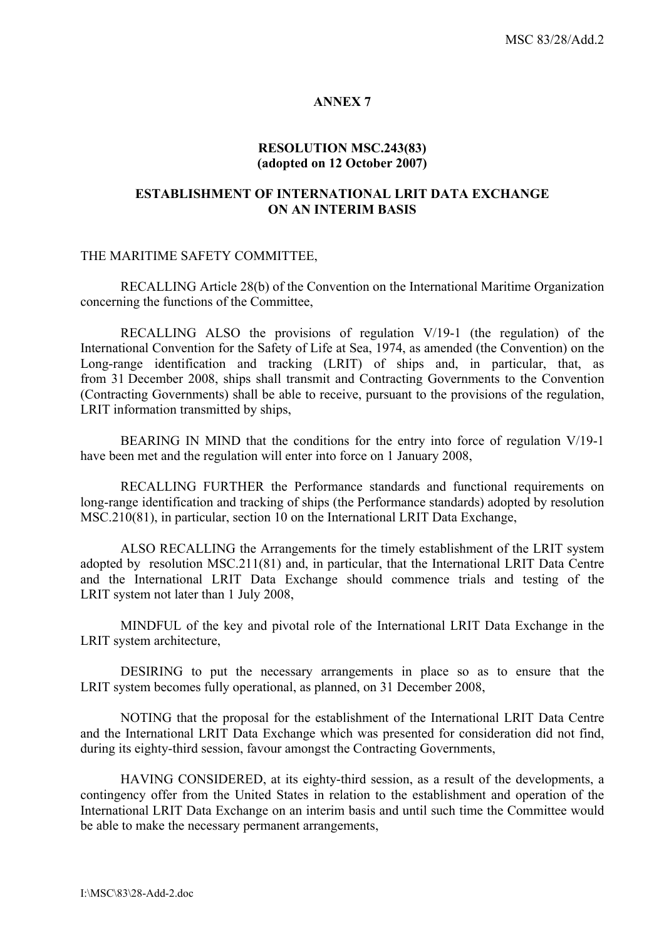### **ANNEX 7**

## **RESOLUTION MSC.243(83) (adopted on 12 October 2007)**

# **ESTABLISHMENT OF INTERNATIONAL LRIT DATA EXCHANGE ON AN INTERIM BASIS**

#### THE MARITIME SAFETY COMMITTEE,

RECALLING Article 28(b) of the Convention on the International Maritime Organization concerning the functions of the Committee,

 RECALLING ALSO the provisions of regulation V/19-1 (the regulation) of the International Convention for the Safety of Life at Sea, 1974, as amended (the Convention) on the Long-range identification and tracking (LRIT) of ships and, in particular, that, as from 31 December 2008, ships shall transmit and Contracting Governments to the Convention (Contracting Governments) shall be able to receive, pursuant to the provisions of the regulation, LRIT information transmitted by ships,

BEARING IN MIND that the conditions for the entry into force of regulation V/19-1 have been met and the regulation will enter into force on 1 January 2008,

 RECALLING FURTHER the Performance standards and functional requirements on long-range identification and tracking of ships (the Performance standards) adopted by resolution MSC.210(81), in particular, section 10 on the International LRIT Data Exchange,

ALSO RECALLING the Arrangements for the timely establishment of the LRIT system adopted by resolution MSC.211(81) and, in particular, that the International LRIT Data Centre and the International LRIT Data Exchange should commence trials and testing of the LRIT system not later than 1 July 2008,

MINDFUL of the key and pivotal role of the International LRIT Data Exchange in the LRIT system architecture,

DESIRING to put the necessary arrangements in place so as to ensure that the LRIT system becomes fully operational, as planned, on 31 December 2008,

NOTING that the proposal for the establishment of the International LRIT Data Centre and the International LRIT Data Exchange which was presented for consideration did not find, during its eighty-third session, favour amongst the Contracting Governments,

HAVING CONSIDERED, at its eighty-third session, as a result of the developments, a contingency offer from the United States in relation to the establishment and operation of the International LRIT Data Exchange on an interim basis and until such time the Committee would be able to make the necessary permanent arrangements,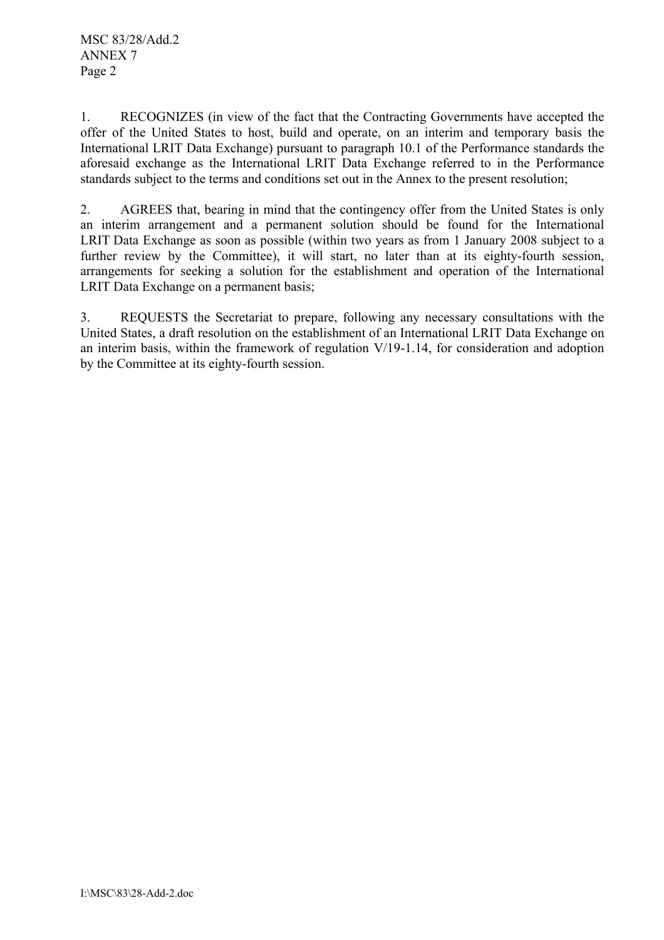1. RECOGNIZES (in view of the fact that the Contracting Governments have accepted the offer of the United States to host, build and operate, on an interim and temporary basis the International LRIT Data Exchange) pursuant to paragraph 10.1 of the Performance standards the aforesaid exchange as the International LRIT Data Exchange referred to in the Performance standards subject to the terms and conditions set out in the Annex to the present resolution;

2. AGREES that, bearing in mind that the contingency offer from the United States is only an interim arrangement and a permanent solution should be found for the International LRIT Data Exchange as soon as possible (within two years as from 1 January 2008 subject to a further review by the Committee), it will start, no later than at its eighty-fourth session, arrangements for seeking a solution for the establishment and operation of the International LRIT Data Exchange on a permanent basis;

3. REQUESTS the Secretariat to prepare, following any necessary consultations with the United States, a draft resolution on the establishment of an International LRIT Data Exchange on an interim basis, within the framework of regulation V/19-1.14, for consideration and adoption by the Committee at its eighty-fourth session.